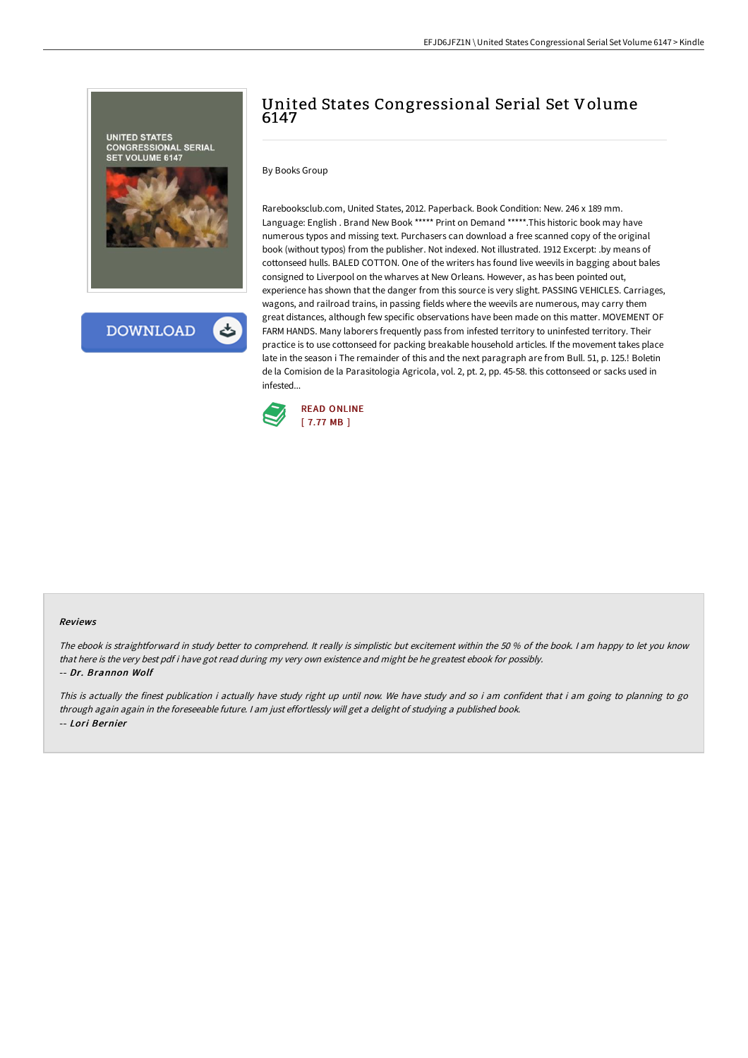

**DOWNLOAD** 

## United States Congressional Serial Set Volume 6147

By Books Group

Rarebooksclub.com, United States, 2012. Paperback. Book Condition: New. 246 x 189 mm. Language: English . Brand New Book \*\*\*\*\* Print on Demand \*\*\*\*\*.This historic book may have numerous typos and missing text. Purchasers can download a free scanned copy of the original book (without typos) from the publisher. Not indexed. Not illustrated. 1912 Excerpt: .by means of cottonseed hulls. BALED COTTON. One of the writers has found live weevils in bagging about bales consigned to Liverpool on the wharves at New Orleans. However, as has been pointed out, experience has shown that the danger from this source is very slight. PASSING VEHICLES. Carriages, wagons, and railroad trains, in passing fields where the weevils are numerous, may carry them great distances, although few specific observations have been made on this matter. MOVEMENT OF FARM HANDS. Many laborers frequently pass from infested territory to uninfested territory. Their practice is to use cottonseed for packing breakable household articles. If the movement takes place late in the season i The remainder of this and the next paragraph are from Bull. 51, p. 125.! Boletin de la Comision de la Parasitologia Agricola, vol. 2, pt. 2, pp. 45-58. this cottonseed or sacks used in infested...



## Reviews

The ebook is straightforward in study better to comprehend. It really is simplistic but excitement within the <sup>50</sup> % of the book. <sup>I</sup> am happy to let you know that here is the very best pdf i have got read during my very own existence and might be he greatest ebook for possibly. -- Dr. Brannon Wolf

This is actually the finest publication i actually have study right up until now. We have study and so i am confident that i am going to planning to go through again again in the foreseeable future. <sup>I</sup> am just effortlessly will get <sup>a</sup> delight of studying <sup>a</sup> published book. -- Lori Bernier